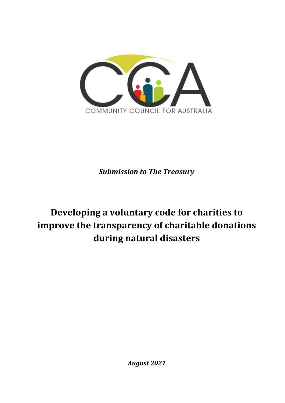

*Submission to The Treasury*

# **Developing a voluntary code for charities to improve the transparency of charitable donations during natural disasters**

*August 2021*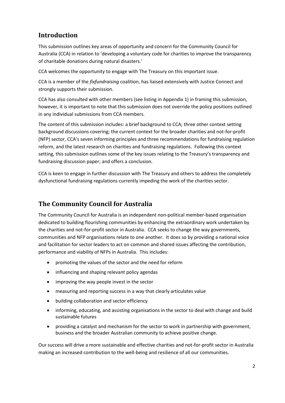### **Introduction**

This submission outlines key areas of opportunity and concern for the Community Council for Australia (CCA) in relation to 'developing a voluntary code for charities to improve the transparency of charitable donations during natural disasters.'

CCA welcomes the opportunity to engage with The Treasury on this important issue.

CCA is a member of the *fixfundraising* coalition, has liaised extensively with Justice Connect and strongly supports their submission.

CCA has also consulted with other members (see listing in Appendix 1) in framing this submission, however, it is important to note that this submission does not override the policy positions outlined in any individual submissions from CCA members.

The content of this submission includes: a brief background to CCA; three other context setting background discussions covering; the current context for the broader charities and not-for-profit (NFP) sector, CCA's seven informing principles and three recommendations for fundraising regulation reform, and the latest research on charities and fundraising regulations. Following this context setting, this submission outlines some of the key issues relating to the Treasury's transparency and fundraising discussion paper; and offers a conclusion.

CCA is keen to engage in further discussion with The Treasury and others to address the completely dysfunctional fundraising regulations currently impeding the work of the charities sector.

### **The Community Council for Australia**

The Community Council for Australia is an independent non-political member-based organisation dedicated to building flourishing communities by enhancing the extraordinary work undertaken by the charities and not-for-profit sector in Australia. CCA seeks to change the way governments, communities and NFP organisations relate to one another. It does so by providing a national voice and facilitation for sector leaders to act on common and shared issues affecting the contribution, performance and viability of NFPs in Australia. This includes:

- promoting the values of the sector and the need for reform
- influencing and shaping relevant policy agendas
- improving the way people invest in the sector
- measuring and reporting success in a way that clearly articulates value
- building collaboration and sector efficiency
- informing, educating, and assisting organisations in the sector to deal with change and build sustainable futures
- providing a catalyst and mechanism for the sector to work in partnership with government, business and the broader Australian community to achieve positive change.

Our success will drive a more sustainable and effective charities and not-for-profit sector in Australia making an increased contribution to the well-being and resilience of all our communities.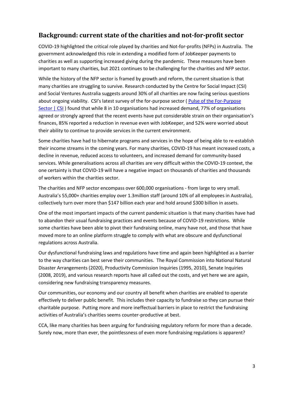### **Background: current state of the charities and not-for-profit sector**

COVID-19 highlighted the critical role played by charities and Not-for-profits (NFPs) in Australia. The government acknowledged this role in extending a modified form of JobKeeper payments to charities as well as supporting increased giving during the pandemic. These measures have been important to many charities, but 2021 continues to be challenging for the charities and NFP sector.

While the history of the NFP sector is framed by growth and reform, the current situation is that many charities are struggling to survive. Research conducted by the Centre for Social Impact (CSI) and Social Ventures Australia suggests around 30% of all charities are now facing serious questions about ongoing viability. CSI's latest survey of the for-purpose sector [\( Pulse of the For-Purpose](https://www.csi.edu.au/research/project/pulse-of-the-for-purpose-sector/)  [Sector | CSI](https://www.csi.edu.au/research/project/pulse-of-the-for-purpose-sector/) ) found that while 8 in 10 organisations had increased demand, 77% of organisations agreed or strongly agreed that the recent events have put considerable strain on their organisation's finances, 85% reported a reduction in revenue even with JobKeeper, and 52% were worried about their ability to continue to provide services in the current environment.

Some charities have had to hibernate programs and services in the hope of being able to re-establish their income streams in the coming years. For many charities, COVID-19 has meant increased costs, a decline in revenue, reduced access to volunteers, and increased demand for community-based services. While generalisations across all charities are very difficult within the COVID-19 context, the one certainty is that COVID-19 will have a negative impact on thousands of charities and thousands of workers within the charities sector.

The charities and NFP sector encompass over 600,000 organisations - from large to very small. Australia's 55,000+ charities employ over 1.3million staff (around 10% of all employees in Australia), collectively turn over more than \$147 billion each year and hold around \$300 billion in assets.

One of the most important impacts of the current pandemic situation is that many charities have had to abandon their usual fundraising practices and events because of COVID-19 restrictions. While some charities have been able to pivot their fundraising online, many have not, and those that have moved more to an online platform struggle to comply with what are obscure and dysfunctional regulations across Australia.

Our dysfunctional fundraising laws and regulations have time and again been highlighted as a barrier to the way charities can best serve their communities. The Royal Commission into National Natural Disaster Arrangements (2020), Productivity Commission Inquiries (1995, 2010), Senate Inquiries (2008, 2019), and various research reports have all called out the costs, and yet here we are again, considering new fundraising transparency measures.

Our communities, our economy and our country all benefit when charities are enabled to operate effectively to deliver public benefit. This includes their capacity to fundraise so they can pursue their charitable purpose. Putting more and more ineffectual barriers in place to restrict the fundraising activities of Australia's charities seems counter-productive at best.

CCA, like many charities has been arguing for fundraising regulatory reform for more than a decade. Surely now, more than ever, the pointlessness of even more fundraising regulations is apparent?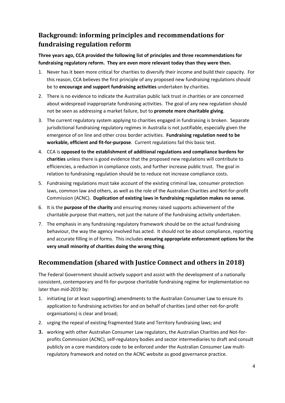### **Background: informing principles and recommendations for fundraising regulation reform**

#### **Three years ago, CCA provided the following list of principles and three recommendations for fundraising regulatory reform. They are even more relevant today than they were then.**

- 1. Never has it been more critical for charities to diversify their income and build their capacity. For this reason, CCA believes the first principle of any proposed new fundraising regulations should be to **encourage and support fundraising activities** undertaken by charities.
- 2. There is no evidence to indicate the Australian public lack trust in charities or are concerned about widespread inappropriate fundraising activities. The goal of any new regulation should not be seen as addressing a market failure, but to **promote more charitable giving**.
- 3. The current regulatory system applying to charities engaged in fundraising is broken. Separate jurisdictional fundraising regulatory regimes in Australia is not justifiable, especially given the emergence of on line and other cross border activities. **Fundraising regulation need to be workable, efficient and fit-for-purpose**. Current regulations fail this basic test.
- 4. CCA is **opposed to the establishment of additional regulations and compliance burdens for charities** unless there is good evidence that the proposed new regulations will contribute to efficiencies, a reduction in compliance costs, and further increase public trust. The goal in relation to fundraising regulation should be to reduce not increase compliance costs.
- 5. Fundraising regulations must take account of the existing criminal law, consumer protection laws, common law and others, as well as the role of the Australian Charities and Not-for-profit Commission (ACNC). **Duplication of existing laws in fundraising regulation makes no sense**.
- 6. It is the **purpose of the charity** and ensuring money raised supports achievement of the charitable purpose that matters, not just the nature of the fundraising activity undertaken.
- 7. The emphasis in any fundraising regulatory framework should be on the actual fundraising behaviour, the way the agency involved has acted. It should not be about compliance, reporting and accurate filling in of forms. This includes **ensuring appropriate enforcement options for the very small minority of charities doing the wrong thing**.

### **Recommendation (shared with Justice Connect and others in 2018)**

The Federal Government should actively support and assist with the development of a nationally consistent, contemporary and fit-for-purpose charitable fundraising regime for implementation no later than mid-2019 by:

- 1. initiating (or at least supporting) amendments to the Australian Consumer Law to ensure its application to fundraising activities for and on behalf of charities (and other not-for-profit organisations) is clear and broad;
- 2. urging the repeal of existing fragmented State and Territory fundraising laws; and
- **3.** working with other Australian Consumer Law regulators, the Australian Charities and Not-forprofits Commission (ACNC), self-regulatory bodies and sector intermediaries to draft and consult publicly on a core mandatory code to be enforced under the Australian Consumer Law multiregulatory framework and noted on the ACNC website as good governance practice.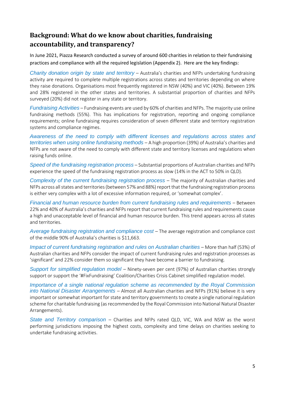### **Background: What do we know about charities, fundraising accountability, and transparency?**

In June 2021, Piazza Research conducted a survey of around 600 charities in relation to their fundraising practices and compliance with all the required legislation (Appendix 2). Here are the key findings:

*Charity donation origin by state and territory* – Australia's charities and NFPs undertaking fundraising activity are required to complete multiple registrations across states and territories depending on where they raise donations. Organisations most frequently registered in NSW (40%) and VIC (40%). Between 19% and 28% registered in the other states and territories. A substantial proportion of charities and NFPs surveyed (20%) did not register in any state or territory.

*Fundraising Activities* – Fundraising events are used by 60% of charities and NFPs. The majority use online fundraising methods (55%). This has implications for registration, reporting and ongoing compliance requirements; online fundraising requires consideration of seven different state and territory registration systems and compliance regimes.

*Awareness of the need to comply with different licenses and regulations across states and territories when using online fundraising methods* – A high proportion (39%) of Australia's charities and NFPs are not aware of the need to comply with different state and territory licenses and regulations when raising funds online.

*Speed of the fundraising registration process* – Substantial proportions of Australian charities and NFPs experience the speed of the fundraising registration process as slow (14% in the ACT to 50% in QLD).

*Complexity of the current fundraising registration process* – The majority of Australian charities and NFPs across all states and territories (between 57% and 88%) report that the fundraising registration process is either very complex with a lot of excessive information required, or 'somewhat complex'.

*Financial and human resource burden from current fundraising rules and requirements* – Between 22% and 40% of Australia's charities and NFPs report that current fundraising rules and requirements cause a high and unacceptable level of financial and human resource burden. This trend appears across all states and territories.

*Average fundraising registration and compliance cost* – The average registration and compliance cost of the middle 90% of Australia's charities is \$11,663.

*Impact of current fundraising registration and rules on Australian charities* – More than half (53%) of Australian charities and NFPs consider the impact of current fundraising rules and registration processes as 'significant' and 22% consider them so significant they have become a barrier to fundraising.

*Support for simplified regulation model* – Ninety-seven per cent (97%) of Australian charities strongly support or support the '#FixFundraising' Coalition/Charities Crisis Cabinet simplified regulation model.

*Importance of a single national regulation scheme as recommended by the Royal Commission into National Disaster Arrangements* – Almost all Australian charities and NFPs (91%) believe it is very important or somewhat important for state and territory governments to create a single national regulation scheme for charitable fundraising (as recommended by the Royal Commission into National Natural Disaster Arrangements).

*State and Territory comparison* – Charities and NFPs rated QLD, VIC, WA and NSW as the worst performing jurisdictions imposing the highest costs, complexity and time delays on charities seeking to undertake fundraising activities.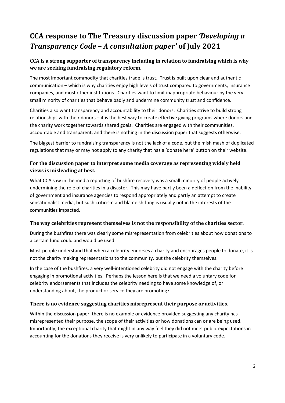# **CCA response to The Treasury discussion paper** *'Developing a Transparency Code – A consultation paper'* **of July 2021**

#### **CCA is a strong supporter of transparency including in relation to fundraising which is why we are seeking fundraising regulatory reform.**

The most important commodity that charities trade is trust. Trust is built upon clear and authentic communication – which is why charities enjoy high levels of trust compared to governments, insurance companies, and most other institutions. Charities want to limit inappropriate behaviour by the very small minority of charities that behave badly and undermine community trust and confidence.

Charities also want transparency and accountability to their donors. Charities strive to build strong relationships with their donors – it is the best way to create effective giving programs where donors and the charity work together towards shared goals. Charities are engaged with their communities, accountable and transparent, and there is nothing in the discussion paper that suggests otherwise.

The biggest barrier to fundraising transparency is not the lack of a code, but the mish mash of duplicated regulations that may or may not apply to any charity that has a 'donate here' button on their website.

#### **For the discussion paper to interpret some media coverage as representing widely held views is misleading at best.**

What CCA saw in the media reporting of bushfire recovery was a small minority of people actively undermining the role of charities in a disaster. This may have partly been a deflection from the inability of government and insurance agencies to respond appropriately and partly an attempt to create sensationalist media, but such criticism and blame shifting is usually not in the interests of the communities impacted.

#### **The way celebrities represent themselves is not the responsibility of the charities sector.**

During the bushfires there was clearly some misrepresentation from celebrities about how donations to a certain fund could and would be used.

Most people understand that when a celebrity endorses a charity and encourages people to donate, it is not the charity making representations to the community, but the celebrity themselves.

In the case of the bushfires, a very well-intentioned celebrity did not engage with the charity before engaging in promotional activities. Perhaps the lesson here is that we need a voluntary code for celebrity endorsements that includes the celebrity needing to have some knowledge of, or understanding about, the product or service they are promoting?

#### **There is no evidence suggesting charities misrepresent their purpose or activities.**

Within the discussion paper, there is no example or evidence provided suggesting any charity has misrepresented their purpose, the scope of their activities or how donations can or are being used. Importantly, the exceptional charity that might in any way feel they did not meet public expectations in accounting for the donations they receive is very unlikely to participate in a voluntary code.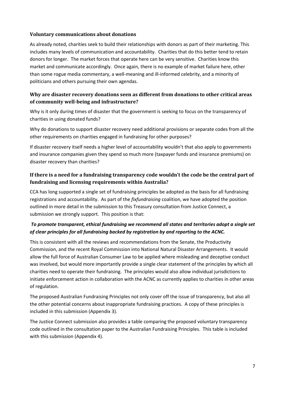#### **Voluntary communications about donations**

As already noted, charities seek to build their relationships with donors as part of their marketing. This includes many levels of communication and accountability. Charities that do this better tend to retain donors for longer. The market forces that operate here can be very sensitive. Charities know this market and communicate accordingly. Once again, there is no example of market failure here, other than some rogue media commentary, a well-meaning and ill-informed celebrity, and a minority of politicians and others pursuing their own agendas.

#### **Why are disaster recovery donations seen as different from donations to other critical areas of community well-being and infrastructure?**

Why is it only during times of disaster that the government is seeking to focus on the transparency of charities in using donated funds?

Why do donations to support disaster recovery need additional provisions or separate codes from all the other requirements on charities engaged in fundraising for other purposes?

If disaster recovery itself needs a higher level of accountability wouldn't that also apply to governments and insurance companies given they spend so much more (taxpayer funds and insurance premiums) on disaster recovery than charities?

#### **If there is a need for a fundraising transparency code wouldn't the code be the central part of fundraising and licensing requirements within Australia?**

CCA has long supported a single set of fundraising principles be adopted as the basis for all fundraising registrations and accountability. As part of the *fixfundraising* coalition, we have adopted the position outlined in more detail in the submission to this Treasury consultation from Justice Connect, a submission we strongly support. This position is that:

#### *To promote transparent, ethical fundraising we recommend all states and territories adopt a single set of clear principles for all fundraising backed by registration by and reporting to the ACNC.*

This is consistent with all the reviews and recommendations from the Senate, the Productivity Commission, and the recent Royal Commission into National Natural Disaster Arrangements. It would allow the full force of Australian Consumer Law to be applied where misleading and deceptive conduct was involved, but would more importantly provide a single clear statement of the principles by which all charities need to operate their fundraising. The principles would also allow individual jurisdictions to initiate enforcement action in collaboration with the ACNC as currently applies to charities in other areas of regulation.

The proposed Australian Fundraising Principles not only cover off the issue of transparency, but also all the other potential concerns about inappropriate fundraising practices. A copy of these principles is included in this submission (Appendix 3).

The Justice Connect submission also provides a table comparing the proposed voluntary transparency code outlined in the consultation paper to the Australian Fundraising Principles. This table is included with this submission (Appendix 4).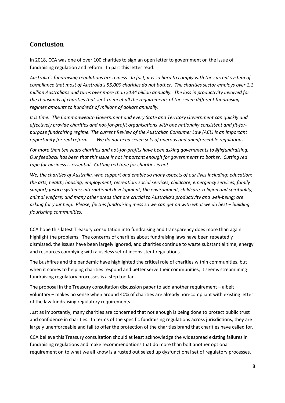### **Conclusion**

In 2018, CCA was one of over 100 charities to sign an open letter to government on the issue of fundraising regulation and reform. In part this letter read:

*Australia's fundraising regulations are a mess. In fact, it is so hard to comply with the current system of compliance that most of Australia's 55,000 charities do not bother. The charities sector employs over 1.1 million Australians and turns over more than \$134 billion annually. The loss in productivity involved for the thousands of charities that seek to meet all the requirements of the seven different fundraising regimes amounts to hundreds of millions of dollars annually.*

*It is time. The Commonwealth Government and every State and Territory Government can quickly and effectively provide charities and not-for-profit organisations with one nationally consistent and fit-forpurpose fundraising regime. The current Review of the Australian Consumer Law (ACL) is an important opportunity for real reform..... We do not need seven sets of onerous and unenforceable regulations.*

*For more than ten years charities and not-for-profits have been asking governments to #fixfundraising. Our feedback has been that this issue is not important enough for governments to bother. Cutting red tape for business is essential. Cutting red tape for charities is not.*

*We, the charities of Australia, who support and enable so many aspects of our lives including: education; the arts; health; housing; employment; recreation; social services; childcare; emergency services; family support; justice systems; international development; the environment, childcare, religion and spirituality, animal welfare; and many other areas that are crucial to Australia's productivity and well-being; are asking for your help. Please, fix this fundraising mess so we can get on with what we do best – building flourishing communities.* 

CCA hope this latest Treasury consultation into fundraising and transparency does more than again highlight the problems. The concerns of charities about fundraising laws have been repeatedly dismissed, the issues have been largely ignored, and charities continue to waste substantial time, energy and resources complying with a useless set of inconsistent regulations.

The bushfires and the pandemic have highlighted the critical role of charities within communities, but when it comes to helping charities respond and better serve their communities, it seems streamlining fundraising regulatory processes is a step too far.

The proposal in the Treasury consultation discussion paper to add another requirement – albeit voluntary – makes no sense when around 40% of charities are already non-compliant with existing letter of the law fundraising regulatory requirements.

Just as importantly, many charities are concerned that not enough is being done to protect public trust and confidence in charities. In terms of the specific fundraising regulations across jurisdictions, they are largely unenforceable and fail to offer the protection of the charities brand that charities have called for.

CCA believe this Treasury consultation should at least acknowledge the widespread existing failures in fundraising regulations and make recommendations that do more than bolt another optional requirement on to what we all know is a rusted out seized up dysfunctional set of regulatory processes.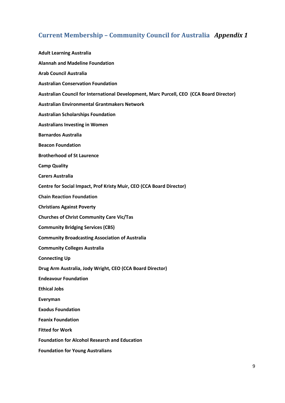## **Current Membership – Community Council for Australia** *Appendix 1*

| <b>Adult Learning Australia</b>                                                          |
|------------------------------------------------------------------------------------------|
| <b>Alannah and Madeline Foundation</b>                                                   |
| <b>Arab Council Australia</b>                                                            |
| <b>Australian Conservation Foundation</b>                                                |
| Australian Council for International Development, Marc Purcell, CEO (CCA Board Director) |
| <b>Australian Environmental Grantmakers Network</b>                                      |
| <b>Australian Scholarships Foundation</b>                                                |
| <b>Australians Investing in Women</b>                                                    |
| <b>Barnardos Australia</b>                                                               |
| <b>Beacon Foundation</b>                                                                 |
| <b>Brotherhood of St Laurence</b>                                                        |
| <b>Camp Quality</b>                                                                      |
| <b>Carers Australia</b>                                                                  |
| Centre for Social Impact, Prof Kristy Muir, CEO (CCA Board Director)                     |
| <b>Chain Reaction Foundation</b>                                                         |
| <b>Christians Against Poverty</b>                                                        |
| <b>Churches of Christ Community Care Vic/Tas</b>                                         |
| <b>Community Bridging Services (CBS)</b>                                                 |
| <b>Community Broadcasting Association of Australia</b>                                   |
| <b>Community Colleges Australia</b>                                                      |
| <b>Connecting Up</b>                                                                     |
| Drug Arm Australia, Jody Wright, CEO (CCA Board Director)                                |
| <b>Endeavour Foundation</b>                                                              |
| <b>Ethical Jobs</b>                                                                      |
| Everyman                                                                                 |
| <b>Exodus Foundation</b>                                                                 |
| <b>Feanix Foundation</b>                                                                 |
| <b>Fitted for Work</b>                                                                   |
| <b>Foundation for Alcohol Research and Education</b>                                     |
| <b>Foundation for Young Australians</b>                                                  |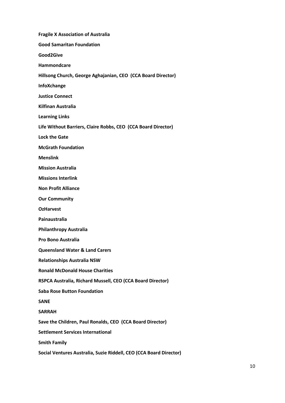| <b>Fragile X Association of Australia</b>                          |
|--------------------------------------------------------------------|
| <b>Good Samaritan Foundation</b>                                   |
| Good2Give                                                          |
| <b>Hammondcare</b>                                                 |
| Hillsong Church, George Aghajanian, CEO (CCA Board Director)       |
| InfoXchange                                                        |
| <b>Justice Connect</b>                                             |
| <b>Kilfinan Australia</b>                                          |
| <b>Learning Links</b>                                              |
| Life Without Barriers, Claire Robbs, CEO (CCA Board Director)      |
| <b>Lock the Gate</b>                                               |
| <b>McGrath Foundation</b>                                          |
| <b>Menslink</b>                                                    |
| <b>Mission Australia</b>                                           |
| <b>Missions Interlink</b>                                          |
| <b>Non Profit Alliance</b>                                         |
| <b>Our Community</b>                                               |
| <b>OzHarvest</b>                                                   |
| Painaustralia                                                      |
| <b>Philanthropy Australia</b>                                      |
| <b>Pro Bono Australia</b>                                          |
| <b>Queensland Water &amp; Land Carers</b>                          |
| <b>Relationships Australia NSW</b>                                 |
| <b>Ronald McDonald House Charities</b>                             |
| RSPCA Australia, Richard Mussell, CEO (CCA Board Director)         |
| <b>Saba Rose Button Foundation</b>                                 |
| <b>SANE</b>                                                        |
| <b>SARRAH</b>                                                      |
| Save the Children, Paul Ronalds, CEO (CCA Board Director)          |
| <b>Settlement Services International</b>                           |
| <b>Smith Family</b>                                                |
| Social Ventures Australia, Suzie Riddell, CEO (CCA Board Director) |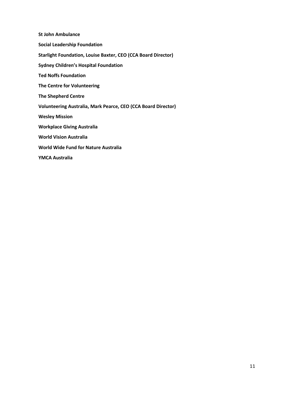**St John Ambulance Social Leadership Foundation Starlight Foundation, Louise Baxter, CEO (CCA Board Director) Sydney Children's Hospital Foundation Ted Noffs Foundation The Centre for Volunteering The Shepherd Centre Volunteering Australia, Mark Pearce, CEO (CCA Board Director) Wesley Mission Workplace Giving Australia World Vision Australia World Wide Fund for Nature Australia YMCA Australia**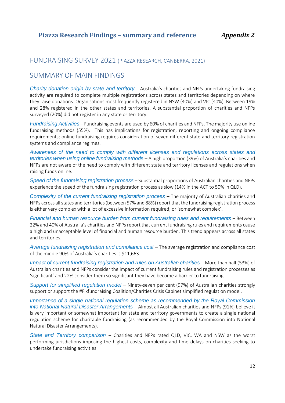#### FUNDRAISING SURVEY 2021 (PIAZZA RESEARCH, CANBERRA, 2021)

### SUMMARY OF MAIN FINDINGS

*Charity donation origin by state and territory* – Australia's charities and NFPs undertaking fundraising activity are required to complete multiple registrations across states and territories depending on where they raise donations. Organisations most frequently registered in NSW (40%) and VIC (40%). Between 19% and 28% registered in the other states and territories. A substantial proportion of charities and NFPs surveyed (20%) did not register in any state or territory.

*Fundraising Activities* – Fundraising events are used by 60% of charities and NFPs. The majority use online fundraising methods (55%). This has implications for registration, reporting and ongoing compliance requirements; online fundraising requires consideration of seven different state and territory registration systems and compliance regimes.

*Awareness of the need to comply with different licenses and regulations across states and territories when using online fundraising methods* – A high proportion (39%) of Australia's charities and NFPs are not aware of the need to comply with different state and territory licenses and regulations when raising funds online.

*Speed of the fundraising registration process* – Substantial proportions of Australian charities and NFPs experience the speed of the fundraising registration process as slow (14% in the ACT to 50% in QLD).

*Complexity of the current fundraising registration process* – The majority of Australian charities and NFPs across all states and territories (between 57% and 88%) report that the fundraising registration process is either very complex with a lot of excessive information required, or 'somewhat complex'.

*Financial and human resource burden from current fundraising rules and requirements* – Between 22% and 40% of Australia's charities and NFPs report that current fundraising rules and requirements cause a high and unacceptable level of financial and human resource burden. This trend appears across all states and territories.

*Average fundraising registration and compliance cost* – The average registration and compliance cost of the middle 90% of Australia's charities is \$11,663.

*Impact of current fundraising registration and rules on Australian charities* – More than half (53%) of Australian charities and NFPs consider the impact of current fundraising rules and registration processes as 'significant' and 22% consider them so significant they have become a barrier to fundraising.

*Support for simplified regulation model* – Ninety-seven per cent (97%) of Australian charities strongly support or support the #Fixfundraising Coalition/Charities Crisis Cabinet simplified regulation model.

*Importance of a single national regulation scheme as recommended by the Royal Commission into National Natural Disaster Arrangements* – Almost all Australian charities and NFPs (91%) believe it is very important or somewhat important for state and territory governments to create a single national regulation scheme for charitable fundraising (as recommended by the Royal Commission into National Natural Disaster Arrangements).

*State and Territory comparison* – Charities and NFPs rated QLD, VIC, WA and NSW as the worst performing jurisdictions imposing the highest costs, complexity and time delays on charities seeking to undertake fundraising activities.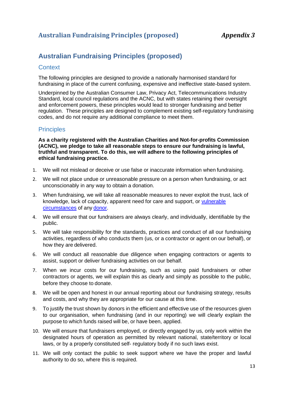### **Australian Fundraising Principles (proposed)** *Appendix 3*

### **Australian Fundraising Principles (proposed)**

#### **Context**

The following principles are designed to provide a nationally harmonised standard for fundraising in place of the current confusing, expensive and ineffective state-based system.

Underpinned by the Australian Consumer Law, Privacy Act, Telecommunications Industry Standard, local council regulations and the ACNC, but with states retaining their oversight and enforcement powers, these principles would lead to stronger fundraising and better regulation. These principles are designed to complement existing self-regulatory fundraising codes, and do not require any additional compliance to meet them.

#### **Principles**

**As a charity registered with the Australian Charities and Not-for-profits Commission (ACNC), we pledge to take all reasonable steps to ensure our fundraising is lawful, truthful and transparent. To do this, we will adhere to the following principles of ethical fundraising practice.**

- 1. We will not mislead or deceive or use false or inaccurate information when fundraising.
- 2. We will not place undue or unreasonable pressure on a person when fundraising, or act unconscionably in any way to obtain a donation.
- 3. When fundraising, we will take all reasonable measures to never exploit the trust, lack of knowledge, lack of capacity, apparent need for care and support, or [vulnerable](https://www.fundraisingregulator.org.uk/code/all-fundraising/behaviour-when-fundraising)  [circumstances](https://www.fundraisingregulator.org.uk/code/all-fundraising/behaviour-when-fundraising) of any [donor.](https://www.fundraisingregulator.org.uk/code/all-fundraising/behaviour-when-fundraising)
- 4. We will ensure that our fundraisers are always clearly, and individually, identifiable by the public.
- 5. We will take responsibility for the standards, practices and conduct of all our fundraising activities, regardless of who conducts them (us, or a contractor or agent on our behalf), or how they are delivered.
- 6. We will conduct all reasonable due diligence when engaging contractors or agents to assist, support or deliver fundraising activities on our behalf.
- 7. When we incur costs for our fundraising, such as using paid fundraisers or other contractors or agents, we will explain this as clearly and simply as possible to the public, before they choose to donate.
- 8. We will be open and honest in our annual reporting about our fundraising strategy, results and costs, and why they are appropriate for our cause at this time.
- 9. To justify the trust shown by donors in the efficient and effective use of the resources given to our organisation, when fundraising (and in our reporting) we will clearly explain the purpose to which funds raised will be, or have been, applied.
- 10. We will ensure that fundraisers employed, or directly engaged by us, only work within the designated hours of operation as permitted by relevant national, state/territory or local laws, or by a properly constituted self- regulatory body if no such laws exist.
- 11. We will only contact the public to seek support where we have the proper and lawful authority to do so, where this is required.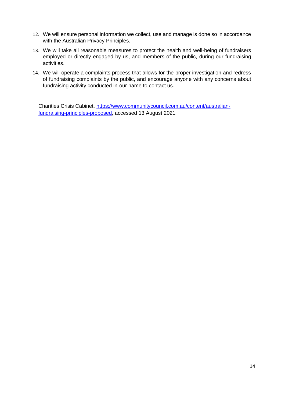- 12. We will ensure personal information we collect, use and manage is done so in accordance with the Australian Privacy Principles.
- 13. We will take all reasonable measures to protect the health and well-being of fundraisers employed or directly engaged by us, and members of the public, during our fundraising activities.
- 14. We will operate a complaints process that allows for the proper investigation and redress of fundraising complaints by the public, and encourage anyone with any concerns about fundraising activity conducted in our name to contact us.

Charities Crisis Cabinet, [https://www.communitycouncil.com.au/content/australian](https://www.communitycouncil.com.au/content/australian-fundraising-principles-proposed)[fundraising-principles-proposed,](https://www.communitycouncil.com.au/content/australian-fundraising-principles-proposed) accessed 13 August 2021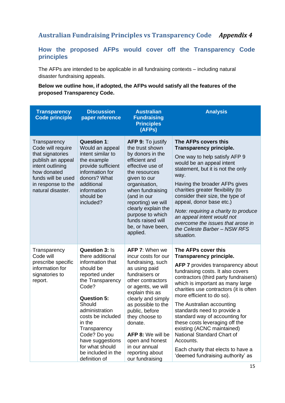### **Australian Fundraising Principles vs Transparency Code** *Appendix 4*

#### **How the proposed AFPs would cover off the Transparency Code principles**

The AFPs are intended to be applicable in all fundraising contexts – including natural disaster fundraising appeals.

#### **Below we outline how, if adopted, the AFPs would satisfy all the features of the proposed Transparency Code.**

| <b>Transparency</b><br><b>Code principle</b>                                                                                                                                   | <b>Discussion</b><br>paper reference                                                                                                                                                                                                                                                                                     | <b>Australian</b><br><b>Fundraising</b><br><b>Principles</b><br>(AFPs)                                                                                                                                                                                                                                                                                | <b>Analysis</b>                                                                                                                                                                                                                                                                                                                                                                                                                                                                                                                                                                |
|--------------------------------------------------------------------------------------------------------------------------------------------------------------------------------|--------------------------------------------------------------------------------------------------------------------------------------------------------------------------------------------------------------------------------------------------------------------------------------------------------------------------|-------------------------------------------------------------------------------------------------------------------------------------------------------------------------------------------------------------------------------------------------------------------------------------------------------------------------------------------------------|--------------------------------------------------------------------------------------------------------------------------------------------------------------------------------------------------------------------------------------------------------------------------------------------------------------------------------------------------------------------------------------------------------------------------------------------------------------------------------------------------------------------------------------------------------------------------------|
| Transparency<br>Code will require<br>that signatories<br>publish an appeal<br>intent outlining<br>how donated<br>funds will be used<br>in response to the<br>natural disaster. | <b>Question 1:</b><br>Would an appeal<br>intent similar to<br>the example<br>provide sufficient<br>information for<br>donors? What<br>additional<br>information<br>should be<br>included?                                                                                                                                | <b>AFP 9: To justify</b><br>the trust shown<br>by donors in the<br>efficient and<br>effective use of<br>the resources<br>given to our<br>organisation,<br>when fundraising<br>(and in our<br>reporting) we will<br>clearly explain the<br>purpose to which<br>funds raised will<br>be, or have been,<br>applied.                                      | The AFPs covers this<br><b>Transparency principle.</b><br>One way to help satisfy AFP 9<br>would be an appeal intent<br>statement, but it is not the only<br>way.<br>Having the broader AFPs gives<br>charities greater flexibility (to<br>consider their size, the type of<br>appeal, donor base etc.)<br>Note: requiring a charity to produce<br>an appeal intent would not<br>overcome the issues that arose in<br>the Celeste Barber - NSW RFS<br>situation.                                                                                                               |
| Transparency<br>Code will<br>prescribe specific<br>information for<br>signatories to<br>report.                                                                                | <b>Question 3: Is</b><br>there additional<br>information that<br>should be<br>reported under<br>the Transparency<br>Code?<br><b>Question 5:</b><br>Should<br>administration<br>costs be included<br>in the<br>Transparency<br>Code? Do you<br>have suggestions<br>for what should<br>be included in the<br>definition of | AFP 7: When we<br>incur costs for our<br>fundraising, such<br>as using paid<br>fundraisers or<br>other contractors<br>or agents, we will<br>explain this as<br>clearly and simply<br>as possible to the<br>public, before<br>they choose to<br>donate.<br>AFP 8: We will be<br>open and honest<br>in our annual<br>reporting about<br>our fundraising | The AFPs cover this<br><b>Transparency principle.</b><br><b>AFP 7</b> provides transparency about<br>fundraising costs. It also covers<br>contractors (third party fundraisers)<br>which is important as many large<br>charities use contractors (it is often<br>more efficient to do so).<br>The Australian accounting<br>standards need to provide a<br>standard way of accounting for<br>these costs leveraging off the<br>existing (ACNC maintained)<br>National Standard Chart of<br>Accounts.<br>Each charity that elects to have a<br>'deemed fundraising authority' as |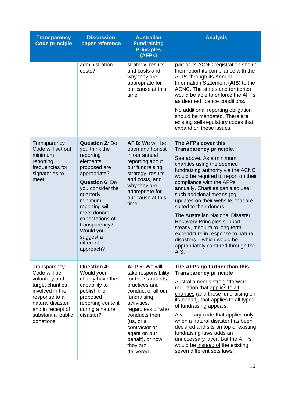| <b>Transparency</b><br><b>Code principle</b>                                                                                                                                       | <b>Discussion</b><br>paper reference                                                                                                                                                                                                                                                    | <b>Australian</b><br><b>Fundraising</b><br><b>Principles</b><br>(AFPs)                                                                                                                                                                                                    | <b>Analysis</b>                                                                                                                                                                                                                                                                                                                                                                                                                                                                                                                                                                         |
|------------------------------------------------------------------------------------------------------------------------------------------------------------------------------------|-----------------------------------------------------------------------------------------------------------------------------------------------------------------------------------------------------------------------------------------------------------------------------------------|---------------------------------------------------------------------------------------------------------------------------------------------------------------------------------------------------------------------------------------------------------------------------|-----------------------------------------------------------------------------------------------------------------------------------------------------------------------------------------------------------------------------------------------------------------------------------------------------------------------------------------------------------------------------------------------------------------------------------------------------------------------------------------------------------------------------------------------------------------------------------------|
|                                                                                                                                                                                    | administration<br>costs?                                                                                                                                                                                                                                                                | strategy, results<br>and costs and<br>why they are<br>appropriate for<br>our cause at this<br>time.                                                                                                                                                                       | part of its ACNC registration should<br>then report its compliance with the<br>AFPs through its Annual<br>Information Statement (AIS) to the<br>ACNC. The states and territories<br>would be able to enforce the AFPs<br>as deemed licence conditions.<br>No additional reporting obligation<br>should be mandated. There are<br>existing self-regulatory codes that<br>expand on these issues.                                                                                                                                                                                         |
| Transparency<br>Code will set out<br>minimum<br>reporting<br>frequencies for<br>signatories to<br>meet.                                                                            | Question 2: Do<br>you think the<br>reporting<br>elements<br>proposed are<br>appropriate?<br><b>Question 6: Do</b><br>you consider the<br>quarterly<br>minimum<br>reporting will<br>meet donors'<br>expectations of<br>transparency?<br>Would you<br>suggest a<br>different<br>approach? | AF 8: We will be<br>open and honest<br>in our annual<br>reporting about<br>our fundraising<br>strategy, results<br>and costs, and<br>why they are<br>appropriate for<br>our cause at this<br>time.                                                                        | The AFPs cover this<br><b>Transparency principle.</b><br>See above. As a minimum,<br>charities using the deemed<br>fundraising authority via the ACNC<br>would be required to report on their<br>compliance with the AFPs<br>annually. Charities can also use<br>such additional means (eg,<br>updates on their website) that are<br>suited to their donors.<br>The Australian National Disaster<br><b>Recovery Principles support</b><br>steady, medium to long term<br>expenditure in response to natural<br>disasters - which would be<br>appropriately captured through the<br>AIS. |
| Transparency<br>Code will be<br>voluntary and<br>target charities<br>involved in the<br>response to a<br>natural disaster<br>and in receipt of<br>substantial public<br>donations. | <b>Question 4:</b><br>Would your<br>charity have the<br>capability to<br>publish the<br>proposed<br>reporting content<br>during a natural<br>disaster?                                                                                                                                  | <b>AFP 5: We will</b><br>take responsibility<br>for the standards,<br>practices and<br>conduct of all our<br>fundraising<br>activities,<br>regardless of who<br>conducts them<br>(us, or a)<br>contractor or<br>agent on our<br>behalf), or how<br>they are<br>delivered. | The AFPs go further than this<br><b>Transparency principle</b><br>Australia needs straightforward<br>regulation that applies to all<br>charities (and those fundraising on<br>its behalf), that applies to all types<br>of fundraising appeals.<br>A voluntary code that applies only<br>when a natural disaster has been<br>declared and sits on top of existing<br>fundraising laws adds an<br>unnecessary layer. But the AFPs<br>would be instead of the existing<br>seven different sets laws.                                                                                      |